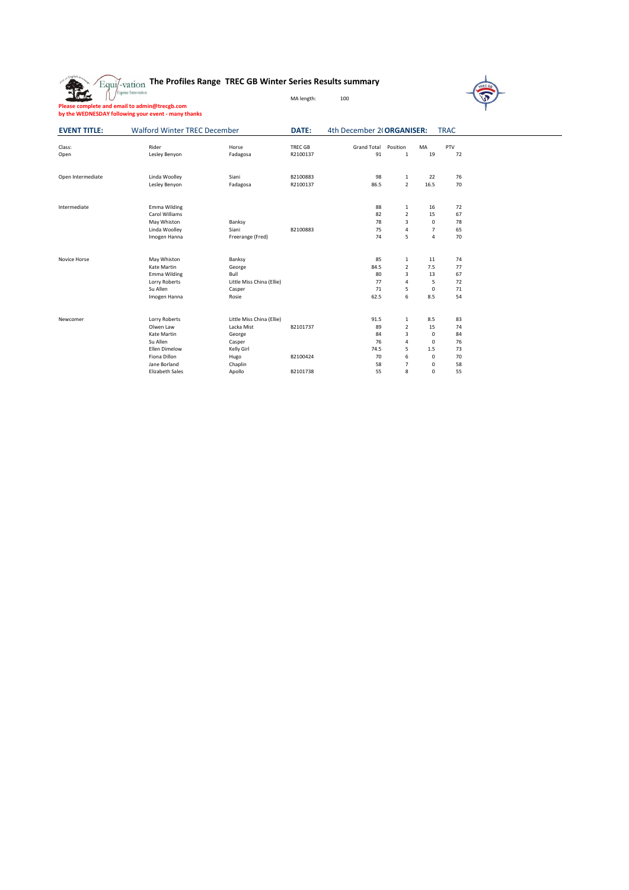| $\gamma_{\rm Equi/-vation}$ The Profiles Range TREC GB Winter Series Results summary |  |
|--------------------------------------------------------------------------------------|--|
|--------------------------------------------------------------------------------------|--|

| Please complete and email to admin@trecgb.com       |
|-----------------------------------------------------|
| by the WEDNESDAY following your event - many thanks |

**EVENT TITLE:** Walford Winter TREC December **DATE:** 4th December 2( ORGANISER: TRAC

MA length: 100

| Class:            | Rider                  | Horse                     | <b>TREC GB</b> | <b>Grand Total</b> | Position                | MA             | PTV |
|-------------------|------------------------|---------------------------|----------------|--------------------|-------------------------|----------------|-----|
| Open              | Lesley Benyon          | Fadagosa                  | R2100137       | 91                 | 1                       | 19             | 72  |
|                   |                        |                           |                |                    |                         |                |     |
| Open Intermediate | Linda Woolley          | Siani                     | B2100883       | 98                 | $\mathbf{1}$            | 22             | 76  |
|                   | Lesley Benyon          | Fadagosa                  | R2100137       | 86.5               | $\overline{2}$          | 16.5           | 70  |
| Intermediate      | Emma Wilding           |                           |                | 88                 | 1                       | 16             | 72  |
|                   | Carol Williams         |                           |                | 82                 | $\overline{2}$          | 15             | 67  |
|                   | May Whiston            | Banksy                    |                | 78                 | $\overline{3}$          | 0              | 78  |
|                   | Linda Woolley          | Siani                     | B2100883       | 75                 | 4                       | $\overline{7}$ | 65  |
|                   | Imogen Hanna           | Freerange (Fred)          |                | 74                 | 5                       | 4              | 70  |
| Novice Horse      | May Whiston            | Banksy                    |                | 85                 | 1                       | 11             | 74  |
|                   | Kate Martin            | George                    |                | 84.5               | $\overline{2}$          | 7.5            | 77  |
|                   | Emma Wilding           | Bull                      |                | 80                 | $\overline{3}$          | 13             | 67  |
|                   | Lorry Roberts          | Little Miss China (Ellie) |                | 77                 | $\overline{4}$          | 5              | 72  |
|                   | Su Allen               | Casper                    |                | 71                 | 5                       | $\mathsf 0$    | 71  |
|                   | Imogen Hanna           | Rosie                     |                | 62.5               | 6                       | 8.5            | 54  |
| Newcomer          | Lorry Roberts          | Little Miss China (Ellie) |                | 91.5               | 1                       | 8.5            | 83  |
|                   | Olwen Law              | Lacka Mist                | B2101737       | 89                 | $\overline{2}$          | 15             | 74  |
|                   | Kate Martin            | George                    |                | 84                 | $\overline{\mathbf{3}}$ | $\mathsf 0$    | 84  |
|                   | Su Allen               | Casper                    |                | 76                 | 4                       | $\mathbf 0$    | 76  |
|                   | Ellen Dimelow          | Kelly Girl                |                | 74.5               | 5                       | 1.5            | 73  |
|                   | Fiona Dillon           | Hugo                      | B2100424       | 70                 | 6                       | $\mathbf 0$    | 70  |
|                   | Jane Borland           | Chaplin                   |                | 58                 | $\overline{7}$          | 0              | 58  |
|                   | <b>Elizabeth Sales</b> | Apollo                    | B2101738       | 55                 | 8                       | $\mathbf 0$    | 55  |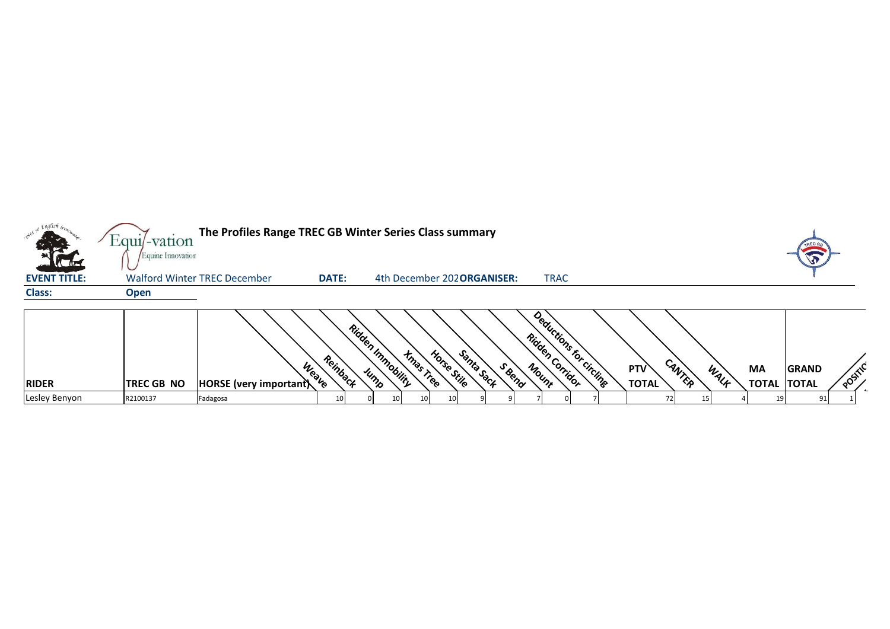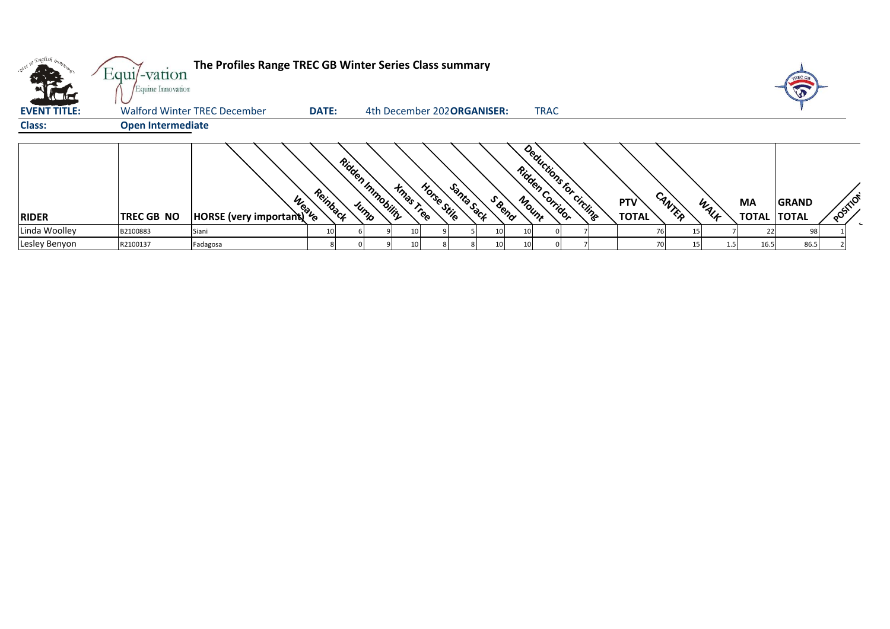|                     | Equi/-vation<br>Equine Innovation | The Profiles Range TREC GB Winter Series Class summary |                 |                                               |                                     |                                            |                     |                |           |                                    |          |
|---------------------|-----------------------------------|--------------------------------------------------------|-----------------|-----------------------------------------------|-------------------------------------|--------------------------------------------|---------------------|----------------|-----------|------------------------------------|----------|
| <b>EVENT TITLE:</b> |                                   | Walford Winter TREC December                           | <b>DATE:</b>    |                                               | 4th December 202 <b>ORGANISER:</b>  | <b>TRAC</b>                                |                     |                |           |                                    |          |
| <b>Class:</b>       | <b>Open Intermediate</b>          |                                                        |                 |                                               |                                     |                                            |                     |                |           |                                    |          |
| <b>RIDER</b>        | <b>TREC GB NO</b>                 | <b>Weave</b><br>HORSE (very important)                 | Reinback        | Ridden Inmobility<br><b>Hmas Tree</b><br>Jump | Santa Sack<br>Horse Stile<br>S Bend | Deductions for circling<br>Ridden Corridor | PTV<br><b>TOTAL</b> | CANTER<br>WALK | <b>MA</b> | <b>GRAND</b><br><b>TOTAL TOTAL</b> | POSITION |
| Linda Woolley       | B2100883                          | Siani                                                  | 10 <sub>l</sub> |                                               | 10                                  |                                            |                     | 76             |           | 98                                 |          |
| Lesley Benyon       | R2100137                          | Fadagosa                                               |                 |                                               | 10                                  |                                            |                     | 70             | 16.5      | 86.5                               |          |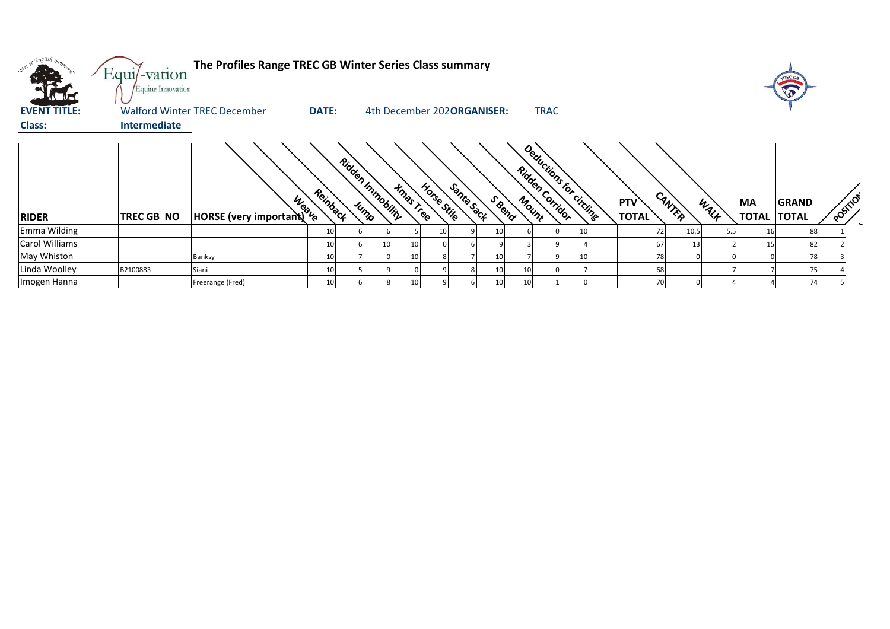| . English <sub>brop.</sub>           | Equi/-vation<br>Equine Innovation | The Profiles Range TREC GB Winter Series Class summary |                 |                           |                  |             |            |                                    |    |                                             |    |                            |        |      |                                 | <b>VI</b>    |          |
|--------------------------------------|-----------------------------------|--------------------------------------------------------|-----------------|---------------------------|------------------|-------------|------------|------------------------------------|----|---------------------------------------------|----|----------------------------|--------|------|---------------------------------|--------------|----------|
| <b>EVENT TITLE:</b><br><b>Class:</b> | Intermediate                      | <b>Walford Winter TREC December</b>                    | <b>DATE:</b>    |                           |                  |             |            | 4th December 202 <b>ORGANISER:</b> |    | <b>TRAC</b>                                 |    |                            |        |      |                                 |              |          |
| <b>RIDER</b>                         | <b>TREC GB NO</b>                 | <b>HORSE</b> (very important)                          | Reinback        | Ridden Inmobility<br>Jump | <b>Xmas Tree</b> | Horse Stile | Santa Sack | SBend                              |    | Deductions for circlinge<br>Ridden Corridor |    | <b>PTV</b><br><b>TOTAL</b> | CANTER | WALK | <b>MA</b><br><b>TOTAL TOTAL</b> | <b>GRAND</b> | POSITION |
| Emma Wilding                         |                                   |                                                        | 10 <sup>1</sup> |                           |                  |             |            |                                    |    |                                             | 10 | 72                         | 10.5   | 5.5  |                                 | 88           |          |
| Carol Williams                       |                                   |                                                        | 10              |                           | 10 <sup>1</sup>  |             |            |                                    |    |                                             |    | 67                         | 13     |      |                                 | 82           |          |
| May Whiston                          |                                   | Banksy                                                 | 10 <sup>1</sup> |                           | 10 <sup>1</sup>  |             |            |                                    |    |                                             | 10 | 78                         |        |      |                                 | 78           |          |
| Linda Woolley                        | B2100883                          | Siani                                                  | 10              |                           |                  |             |            |                                    | 10 |                                             |    | 68                         |        |      |                                 | 75           |          |
| Imogen Hanna                         |                                   | Freerange (Fred)                                       | 10 <sup>1</sup> |                           | 10 <sup>1</sup>  |             |            |                                    | 10 |                                             |    | 70                         |        |      |                                 | 74           |          |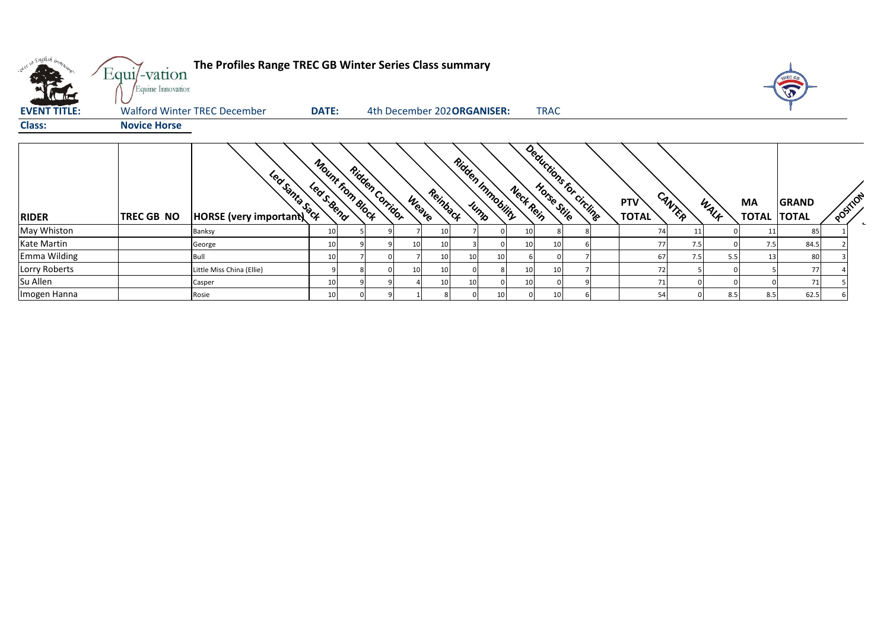|                     | Equi/-vation        | The Profiles Range TREC GB Winter Series Class summary |                  |                 |       |                             |                 |                           |           |                 |                          |                            |        |      |                          |       |          |  |
|---------------------|---------------------|--------------------------------------------------------|------------------|-----------------|-------|-----------------------------|-----------------|---------------------------|-----------|-----------------|--------------------------|----------------------------|--------|------|--------------------------|-------|----------|--|
|                     | Equine Innovation   |                                                        |                  |                 |       |                             |                 |                           |           |                 |                          |                            |        |      |                          | W     |          |  |
| <b>EVENT TITLE:</b> |                     | <b>Walford Winter TREC December</b>                    | <b>DATE:</b>     |                 |       | 4th December 202 ORGANISER: |                 |                           |           | <b>TRAC</b>     |                          |                            |        |      |                          |       |          |  |
| <b>Class:</b>       | <b>Novice Horse</b> |                                                        |                  |                 |       |                             |                 |                           |           |                 |                          |                            |        |      |                          |       |          |  |
| <b>RIDER</b>        | <b>TREC GB NO</b>   | Leaf Samta Sact<br><b>HORSE</b> (very important)       | Mount from Block | Ridden Corridor | Weave | Reinback                    |                 | Ridden Inmobility<br>Jump | Neck Rein |                 | Deductions for circlinge | <b>PTV</b><br><b>TOTAL</b> | CANTER | WALK | МA<br><b>TOTAL TOTAL</b> | GRAND | POSITION |  |
| May Whiston         |                     | Banksy                                                 | 10               |                 |       | 10                          |                 |                           | 10        | 8               |                          | 74                         | 11     |      | 11                       | 85    |          |  |
| Kate Martin         |                     | George                                                 | 10               |                 |       | 10                          |                 |                           | 10        | 10              |                          | 77                         | 7.5    |      | 7.5                      | 84.5  |          |  |
| Emma Wilding        |                     | Bull                                                   | 10               |                 |       | 10                          | 10 <sub>l</sub> | 10                        |           |                 |                          | 67                         | 7.5    | 5.5  | 13                       | 80    |          |  |
| Lorry Roberts       |                     | Little Miss China (Ellie)                              |                  |                 |       | 10                          |                 |                           |           | 10 <sub>1</sub> |                          |                            |        |      |                          | 77    |          |  |
| Su Allen            |                     | Casper                                                 |                  |                 |       | <b>10</b>                   | 10              |                           |           |                 |                          | 71                         |        |      |                          | 71    |          |  |
|                     |                     |                                                        |                  |                 |       |                             |                 |                           |           |                 |                          |                            |        |      |                          |       |          |  |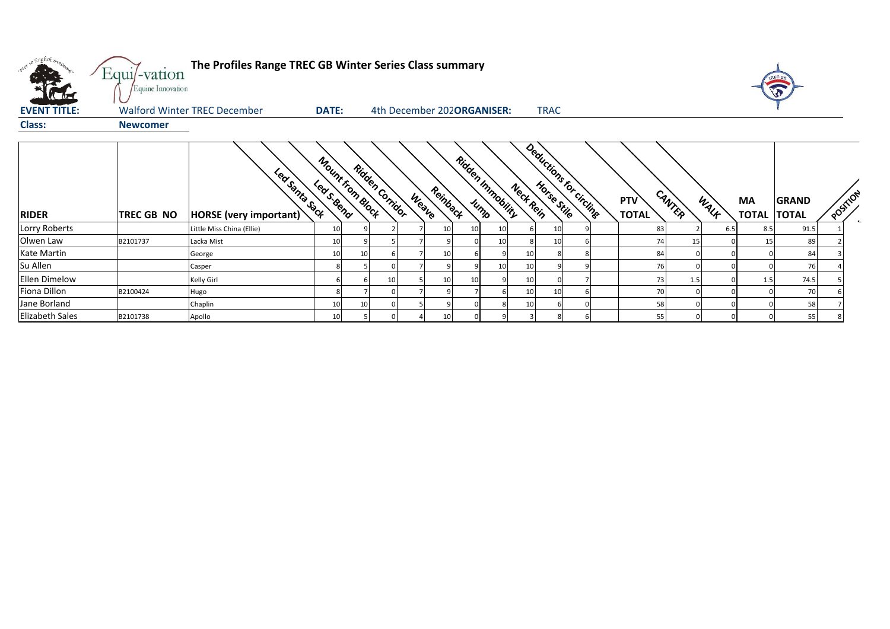| over 50 English bronze. | Equi/-vation<br>Equine Innovation | The Profiles Range TREC GB Winter Series Class summary |                                |                            |                   |              |                                  |           |             |                          |                     |    |        |      |                          |              |          |        |
|-------------------------|-----------------------------------|--------------------------------------------------------|--------------------------------|----------------------------|-------------------|--------------|----------------------------------|-----------|-------------|--------------------------|---------------------|----|--------|------|--------------------------|--------------|----------|--------|
| <b>EVENT TITLE:</b>     |                                   | <b>Walford Winter TREC December</b>                    | <b>DATE:</b>                   | 4th December 202ORGANISER: |                   |              |                                  |           | <b>TRAC</b> |                          |                     |    |        |      |                          |              |          |        |
| <b>Class:</b>           | <b>Newcomer</b>                   |                                                        |                                |                            |                   |              |                                  |           |             |                          |                     |    |        |      |                          |              |          |        |
| <b>RIDER</b>            | TREC GB NO                        | Led Santa Sack<br><b>HORSE</b> (very important)        | Mount from Block<br>Least Bend | <b>Ridden Corridor</b>     | Reinback<br>Weave |              | <b>Ridden Inmobility</b><br>Jump | Neck Rein |             | Deductions for circlings | PTV<br><b>TOTAL</b> |    | CANTER | WALF | MA<br><b>TOTAL TOTAL</b> | <b>GRAND</b> | POSTILON | $\sim$ |
| Lorry Roberts           |                                   | Little Miss China (Ellie)                              | 10                             |                            | 10                | 10           |                                  |           | 10          |                          |                     | 83 |        | 6.5  | 8.5                      | 91.5         |          |        |
| Olwen Law               | B2101737                          | Lacka Mist                                             | 10                             |                            |                   |              |                                  |           | 10          |                          |                     | 74 | 15     |      | 15                       | 89           |          |        |
| Kate Martin             |                                   | George                                                 | 10                             |                            | 10                |              |                                  | 10        |             |                          |                     | 84 |        |      |                          | 84           |          |        |
| Su Allen                |                                   | Casper                                                 |                                |                            |                   |              |                                  | 10        |             |                          |                     | 76 |        |      |                          | 76           |          |        |
| Ellen Dimelow           |                                   | Kelly Girl                                             |                                | 10                         | 10                | $\mathbf{1}$ |                                  | 10        |             |                          |                     | 73 | 1.5    |      | 1.5                      | 74.5         |          |        |
| Fiona Dillon            | B2100424                          | Hugo                                                   |                                |                            |                   |              |                                  | 10        | 10          |                          |                     | 70 |        |      |                          | 70           |          |        |
| Jane Borland            |                                   | Chaplin                                                | 10                             |                            |                   |              |                                  | 10        |             |                          |                     | 58 |        |      |                          | 58           |          |        |
| <b>Elizabeth Sales</b>  | B2101738                          | Apollo                                                 | 10                             |                            | 10 <sup>1</sup>   |              |                                  |           |             |                          |                     | 55 |        |      |                          | 55           |          |        |